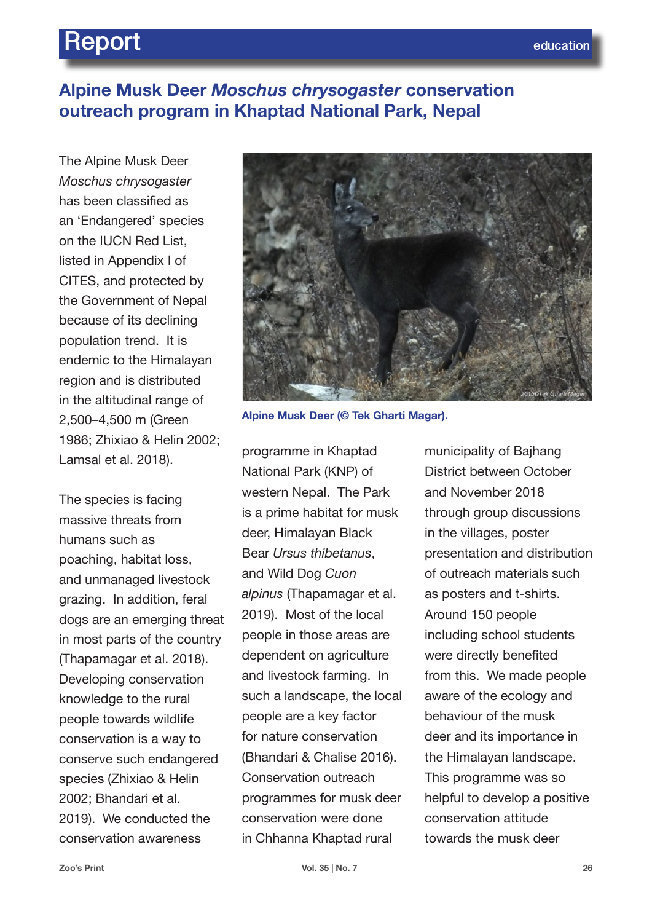# **Report** *education*

## **Alpine Musk Deer** *Moschus chrysogaster* **conservation outreach program in Khaptad National Park, Nepal**

The Alpine Musk Deer *Moschus chrysogaster* has been classified as an 'Endangered' species on the IUCN Red List, listed in Appendix I of CITES, and protected by the Government of Nepal because of its declining population trend. It is endemic to the Himalayan region and is distributed in the altitudinal range of 2,500–4,500 m (Green 1986; Zhixiao & Helin 2002; Lamsal et al. 2018).

The species is facing massive threats from humans such as poaching, habitat loss, and unmanaged livestock grazing. In addition, feral dogs are an emerging threat in most parts of the country (Thapamagar et al. 2018). Developing conservation knowledge to the rural people towards wildlife conservation is a way to conserve such endangered species (Zhixiao & Helin 2002; Bhandari et al. 2019). We conducted the conservation awareness



**Alpine Musk Deer (© Tek Gharti Magar).**

programme in Khaptad National Park (KNP) of western Nepal. The Park is a prime habitat for musk deer, Himalayan Black Bear *Ursus thibetanus*, and Wild Dog *Cuon alpinus* (Thapamagar et al. 2019). Most of the local people in those areas are dependent on agriculture and livestock farming. In such a landscape, the local people are a key factor for nature conservation (Bhandari & Chalise 2016). Conservation outreach programmes for musk deer conservation were done in Chhanna Khaptad rural

municipality of Bajhang District between October and November 2018 through group discussions in the villages, poster presentation and distribution of outreach materials such as posters and t-shirts. Around 150 people including school students were directly benefited from this. We made people aware of the ecology and behaviour of the musk deer and its importance in the Himalayan landscape. This programme was so helpful to develop a positive conservation attitude towards the musk deer